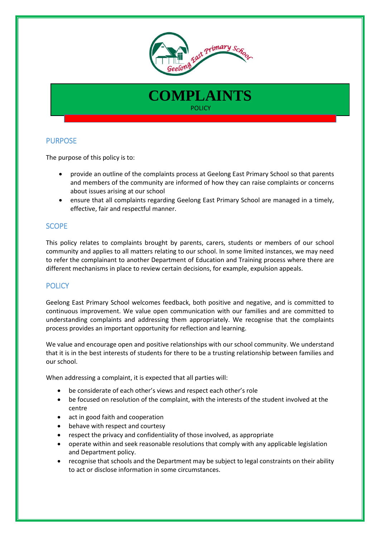



# PURPOSE

The purpose of this policy is to:

- provide an outline of the complaints process at Geelong East Primary School so that parents and members of the community are informed of how they can raise complaints or concerns about issues arising at our school
- ensure that all complaints regarding Geelong East Primary School are managed in a timely, effective, fair and respectful manner.

# **SCOPE**

This policy relates to complaints brought by parents, carers, students or members of our school community and applies to all matters relating to our school. In some limited instances, we may need to refer the complainant to another Department of Education and Training process where there are different mechanisms in place to review certain decisions, for example, expulsion appeals.

## **POLICY**

Geelong East Primary School welcomes feedback, both positive and negative, and is committed to continuous improvement. We value open communication with our families and are committed to understanding complaints and addressing them appropriately. We recognise that the complaints process provides an important opportunity for reflection and learning.

We value and encourage open and positive relationships with our school community. We understand that it is in the best interests of students for there to be a trusting relationship between families and our school.

When addressing a complaint, it is expected that all parties will:

- be considerate of each other's views and respect each other's role
- be focused on resolution of the complaint, with the interests of the student involved at the centre
- act in good faith and cooperation
- behave with respect and courtesy
- respect the privacy and confidentiality of those involved, as appropriate
- operate within and seek reasonable resolutions that comply with any applicable legislation and Department policy.
- recognise that schools and the Department may be subject to legal constraints on their ability to act or disclose information in some circumstances.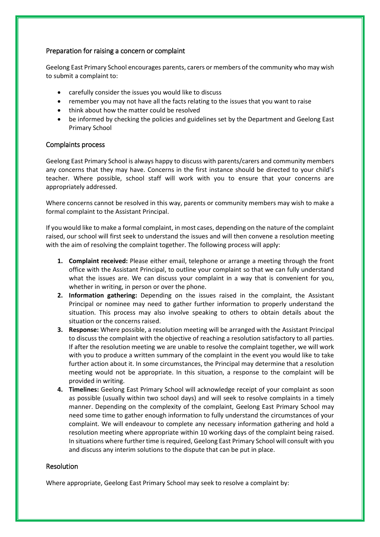### Preparation for raising a concern or complaint

Geelong East Primary School encourages parents, carers or members of the community who may wish to submit a complaint to:

- carefully consider the issues you would like to discuss
- remember you may not have all the facts relating to the issues that you want to raise
- think about how the matter could be resolved
- be informed by checking the policies and guidelines set by the Department and Geelong East Primary School

### Complaints process

Geelong East Primary School is always happy to discuss with parents/carers and community members any concerns that they may have. Concerns in the first instance should be directed to your child's teacher. Where possible, school staff will work with you to ensure that your concerns are appropriately addressed.

Where concerns cannot be resolved in this way, parents or community members may wish to make a formal complaint to the Assistant Principal.

If you would like to make a formal complaint, in most cases, depending on the nature of the complaint raised, our school will first seek to understand the issues and will then convene a resolution meeting with the aim of resolving the complaint together. The following process will apply:

- **1. Complaint received:** Please either email, telephone or arrange a meeting through the front office with the Assistant Principal, to outline your complaint so that we can fully understand what the issues are. We can discuss your complaint in a way that is convenient for you, whether in writing, in person or over the phone.
- **2. Information gathering:** Depending on the issues raised in the complaint, the Assistant Principal or nominee may need to gather further information to properly understand the situation. This process may also involve speaking to others to obtain details about the situation or the concerns raised.
- **3. Response:** Where possible, a resolution meeting will be arranged with the Assistant Principal to discuss the complaint with the objective of reaching a resolution satisfactory to all parties. If after the resolution meeting we are unable to resolve the complaint together, we will work with you to produce a written summary of the complaint in the event you would like to take further action about it. In some circumstances, the Principal may determine that a resolution meeting would not be appropriate. In this situation, a response to the complaint will be provided in writing.
- **4. Timelines:** Geelong East Primary School will acknowledge receipt of your complaint as soon as possible (usually within two school days) and will seek to resolve complaints in a timely manner. Depending on the complexity of the complaint, Geelong East Primary School may need some time to gather enough information to fully understand the circumstances of your complaint. We will endeavour to complete any necessary information gathering and hold a resolution meeting where appropriate within 10 working days of the complaint being raised. In situations where further time is required, Geelong East Primary School will consult with you and discuss any interim solutions to the dispute that can be put in place.

## **Resolution**

Where appropriate, Geelong East Primary School may seek to resolve a complaint by: